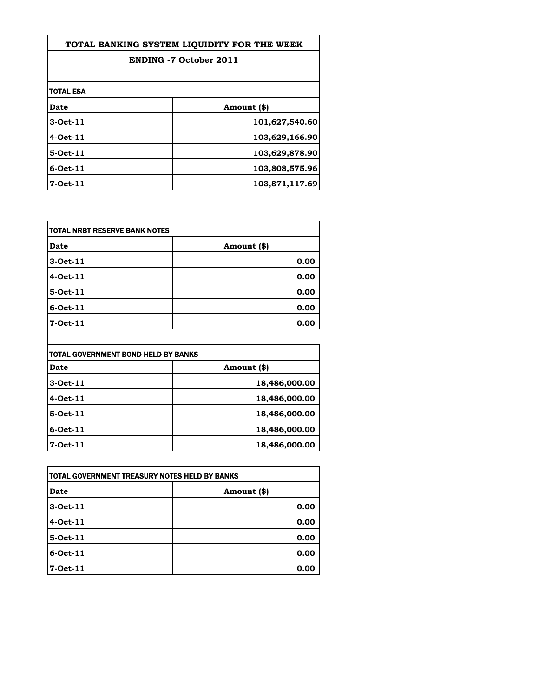| TOTAL BANKING SYSTEM LIOUIDITY FOR THE WEEK |                               |
|---------------------------------------------|-------------------------------|
|                                             | <b>ENDING -7 October 2011</b> |
|                                             |                               |
| itotal esa                                  |                               |
| Date                                        | Amount (\$)                   |
| 3-Oct-11                                    | 101,627,540.60                |
| 4-Oct-11                                    | 103,629,166.90                |
| 5-Oct-11                                    | 103,629,878.90                |
| 16-Oct-11                                   | 103,808,575.96                |
| l7-Oct-11                                   | 103,871,117.69                |

| TOTAL NRBT RESERVE BANK NOTES |             |
|-------------------------------|-------------|
| Date                          | Amount (\$) |
| 3-Oct-11                      | 0.00        |
| 4-Oct-11                      | 0.00        |
| 5-Oct-11                      | 0.00        |
| 6-Oct-11                      | 0.00        |
| 7-Oct-11                      | 0.00        |

| TOTAL GOVERNMENT BOND HELD BY BANKS |               |
|-------------------------------------|---------------|
| Date                                | Amount (\$)   |
| 3-Oct-11                            | 18,486,000.00 |
| 4-Oct-11                            | 18,486,000.00 |
| 5-Oct-11                            | 18,486,000.00 |
| $6$ -Oct-11                         | 18,486,000.00 |
| 7-Oct-11                            | 18,486,000.00 |

| itotal Government treasury notes held by Banks |             |
|------------------------------------------------|-------------|
| Date                                           | Amount (\$) |
| 3-Oct-11                                       | 0.00        |
| 4-Oct-11                                       | 0.00        |
| 5-Oct-11                                       | 0.00        |
| 6-Oct-11                                       | 0.00        |
| 7-Oct-11                                       | 0.00        |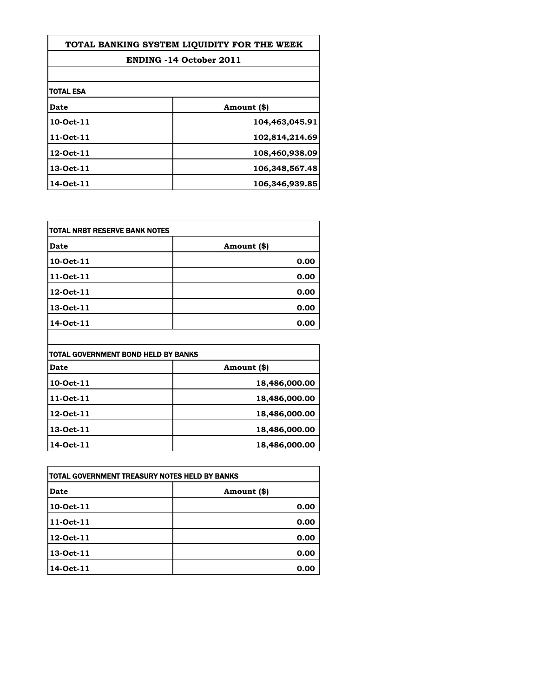| TOTAL BANKING SYSTEM LIQUIDITY FOR THE WEEK |                                |
|---------------------------------------------|--------------------------------|
|                                             | <b>ENDING -14 October 2011</b> |
|                                             |                                |
| itotal ESA                                  |                                |
| Date                                        | Amount (\$)                    |
| 10-Oct-11                                   | 104,463,045.91                 |
| 11-Oct-11                                   | 102,814,214.69                 |
| 12-Oct-11                                   | 108,460,938.09                 |
| 13-Oct-11                                   | 106,348,567.48                 |
| 14-Oct-11                                   | 106,346,939.85                 |

| TOTAL NRBT RESERVE BANK NOTES |             |
|-------------------------------|-------------|
| <b>Date</b>                   | Amount (\$) |
| 10-Oct-11                     | 0.00        |
| 11-Oct-11                     | 0.00        |
| 12-Oct-11                     | 0.00        |
| 13-Oct-11                     | 0.00        |
| 14-Oct-11                     | 0.00        |

| ITOTAL GOVERNMENT BOND HELD BY BANKS |               |
|--------------------------------------|---------------|
| Date                                 | Amount (\$)   |
| 10-Oct-11                            | 18,486,000.00 |
| 11-Oct-11                            | 18,486,000.00 |
| 12-Oct-11                            | 18,486,000.00 |
| 13-Oct-11                            | 18,486,000.00 |
| 14-Oct-11                            | 18,486,000.00 |

| TOTAL GOVERNMENT TREASURY NOTES HELD BY BANKS |             |
|-----------------------------------------------|-------------|
| Date                                          | Amount (\$) |
| 10-Oct-11                                     | 0.00        |
| 11-Oct-11                                     | 0.00        |
| 12-Oct-11                                     | 0.00        |
| 13-Oct-11                                     | 0.00        |
| 14-Oct-11                                     | 0.00        |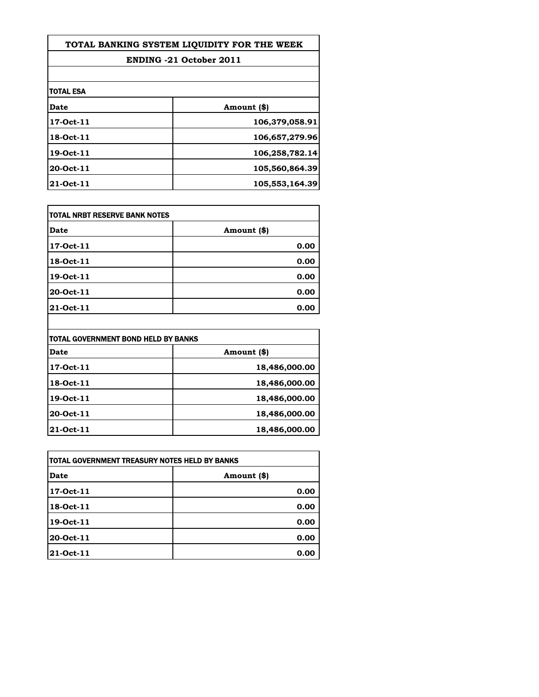| TOTAL BANKING SYSTEM LIOUIDITY FOR THE WEEK |                                |
|---------------------------------------------|--------------------------------|
|                                             | <b>ENDING -21 October 2011</b> |
|                                             |                                |
| itotal ESA                                  |                                |
| Date                                        | Amount (\$)                    |
| 17-Oct-11                                   | 106,379,058.91                 |
| <b>18-Oct-11</b>                            | 106,657,279.96                 |
| 19-Oct-11                                   | 106,258,782.14                 |
| 20-Oct-11                                   | 105,560,864.39                 |
| 21-Oct-11                                   | 105,553,164.39                 |

| TOTAL NRBT RESERVE BANK NOTES |             |
|-------------------------------|-------------|
| <b>Date</b>                   | Amount (\$) |
| 17-Oct-11                     | 0.00        |
| 18-Oct-11                     | 0.00        |
| 19-Oct-11                     | 0.00        |
| 20-Oct-11                     | 0.00        |
| 21-Oct-11                     | 0.00        |

| TOTAL GOVERNMENT BOND HELD BY BANKS |               |
|-------------------------------------|---------------|
| <b>Date</b>                         | Amount (\$)   |
| 17-Oct-11                           | 18,486,000.00 |
| 18-Oct-11                           | 18,486,000.00 |
| 19-Oct-11                           | 18,486,000.00 |
| 20-Oct-11                           | 18,486,000.00 |
| 21-Oct-11                           | 18,486,000.00 |

 $\overline{\phantom{a}}$ 

| itotal Government Treasury Notes Held by Banks |             |
|------------------------------------------------|-------------|
| Date                                           | Amount (\$) |
| 17-Oct-11                                      | 0.00        |
| 18-Oct-11                                      | 0.00        |
| 19-Oct-11                                      | 0.00        |
| 20-Oct-11                                      | 0.00        |
| 21-Oct-11                                      | 0.00        |